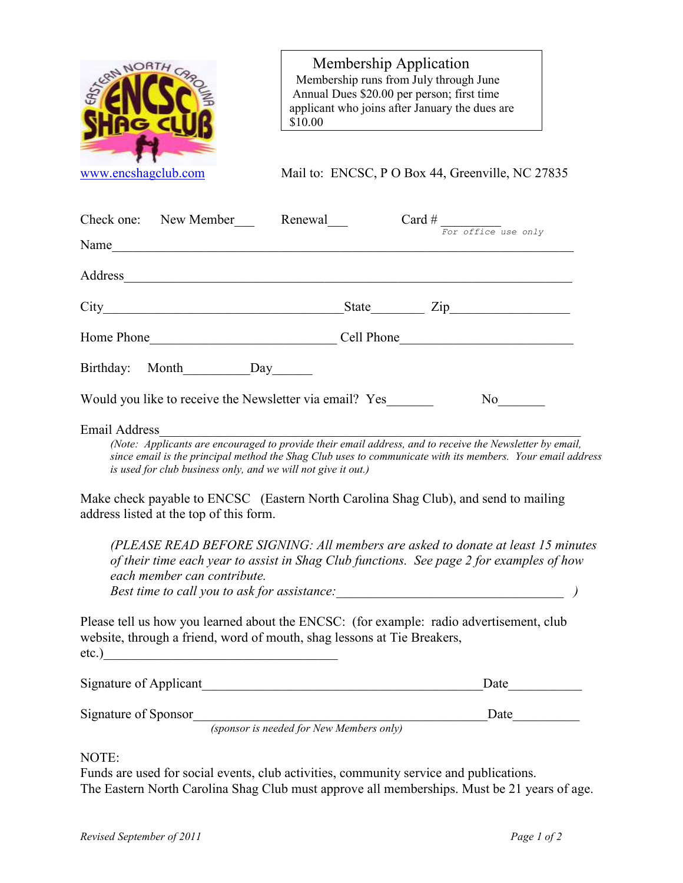

NOTE:

Funds are used for social events, club activities, community service and publications. The Eastern North Carolina Shag Club must approve all memberships. Must be 21 years of age.